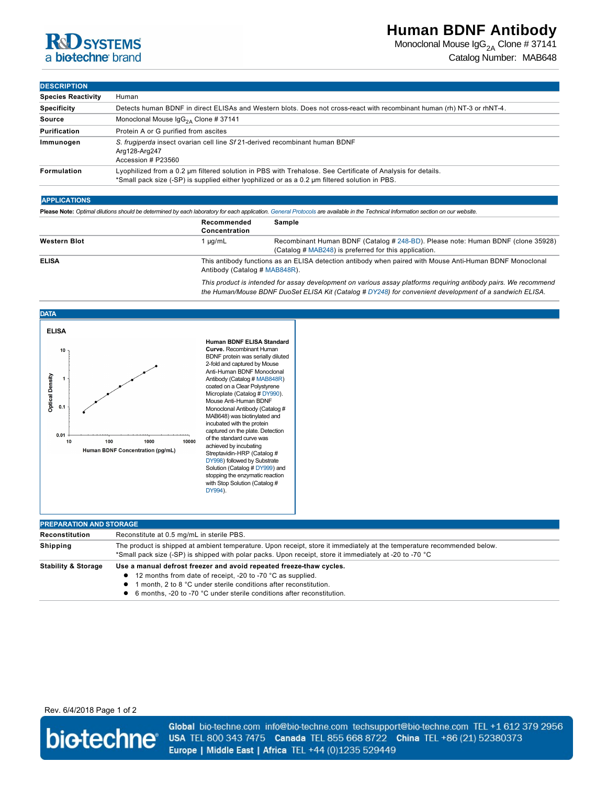# **R&D SYSTEMS** a biotechne brand

## **Human BDNF Antibody**

Monoclonal Mouse  $\lg G_{2A}$  Clone # 37141 Catalog Number: MAB648

#### **DESCRIPTION**

| ----------                |                                                                                                                                                                                                               |  |  |
|---------------------------|---------------------------------------------------------------------------------------------------------------------------------------------------------------------------------------------------------------|--|--|
| <b>Species Reactivity</b> | Human                                                                                                                                                                                                         |  |  |
| <b>Specificity</b>        | Detects human BDNF in direct ELISAs and Western blots. Does not cross-react with recombinant human (rh) NT-3 or rhNT-4.                                                                                       |  |  |
| Source                    | Monoclonal Mouse $\lg G_{2A}$ Clone # 37141                                                                                                                                                                   |  |  |
| <b>Purification</b>       | Protein A or G purified from ascites                                                                                                                                                                          |  |  |
| Immunogen                 | S. frugiperda insect ovarian cell line Sf 21-derived recombinant human BDNF<br>Arg128-Arg247<br>Accession # P23560                                                                                            |  |  |
| Formulation               | Lyophilized from a 0.2 um filtered solution in PBS with Trehalose. See Certificate of Analysis for details.<br>*Small pack size (-SP) is supplied either lyophilized or as a 0.2 µm filtered solution in PBS. |  |  |

### **APPLICATIONS**

**Please Note:** *Optimal dilutions should be determined by each laboratory for each application. [General Protocols](http://www.rndsystems.com/resources/protocols-troubleshooting-guides) are available in the Technical Information section on our website.*

|                     | Recommended<br>Concentration  | Sample                                                                                                                                    |
|---------------------|-------------------------------|-------------------------------------------------------------------------------------------------------------------------------------------|
| <b>Western Blot</b> | 1 ua/mL                       | Recombinant Human BDNF (Catalog # 248-BD). Please note: Human BDNF (clone 35928)<br>(Catalog # MAB248) is preferred for this application. |
| <b>ELISA</b>        | Antibody (Catalog # MAB848R). | This antibody functions as an ELISA detection antibody when paired with Mouse Anti-Human BDNF Monoclonal                                  |

*This product is intended for assay development on various assay platforms requiring antibody pairs. We recommend the Human/Mouse BDNF DuoSet ELISA Kit (Catalog # [DY248\)](http://www.rndsystems.com/product_results.aspx?k=DY248) for convenient development of a sandwich ELISA.*



| <b>PREPARATION AND STORAGE</b> |                                                                                                                                                                                                                                                                                                   |  |  |
|--------------------------------|---------------------------------------------------------------------------------------------------------------------------------------------------------------------------------------------------------------------------------------------------------------------------------------------------|--|--|
| Reconstitution                 | Reconstitute at 0.5 mg/mL in sterile PBS.                                                                                                                                                                                                                                                         |  |  |
| <b>Shipping</b>                | The product is shipped at ambient temperature. Upon receipt, store it immediately at the temperature recommended below.<br>*Small pack size (-SP) is shipped with polar packs. Upon receipt, store it immediately at -20 to -70 °C                                                                |  |  |
| <b>Stability &amp; Storage</b> | Use a manual defrost freezer and avoid repeated freeze-thaw cycles.<br>• 12 months from date of receipt, -20 to -70 °C as supplied.<br>1 month, 2 to 8 °C under sterile conditions after reconstitution.<br>$\bullet$<br>• 6 months, -20 to -70 °C under sterile conditions after reconstitution. |  |  |

Rev. 6/4/2018 Page 1 of 2



Global bio-techne.com info@bio-techne.com techsupport@bio-techne.com TEL +1 612 379 2956 USA TEL 800 343 7475 Canada TEL 855 668 8722 China TEL +86 (21) 52380373 Europe | Middle East | Africa TEL +44 (0)1235 529449